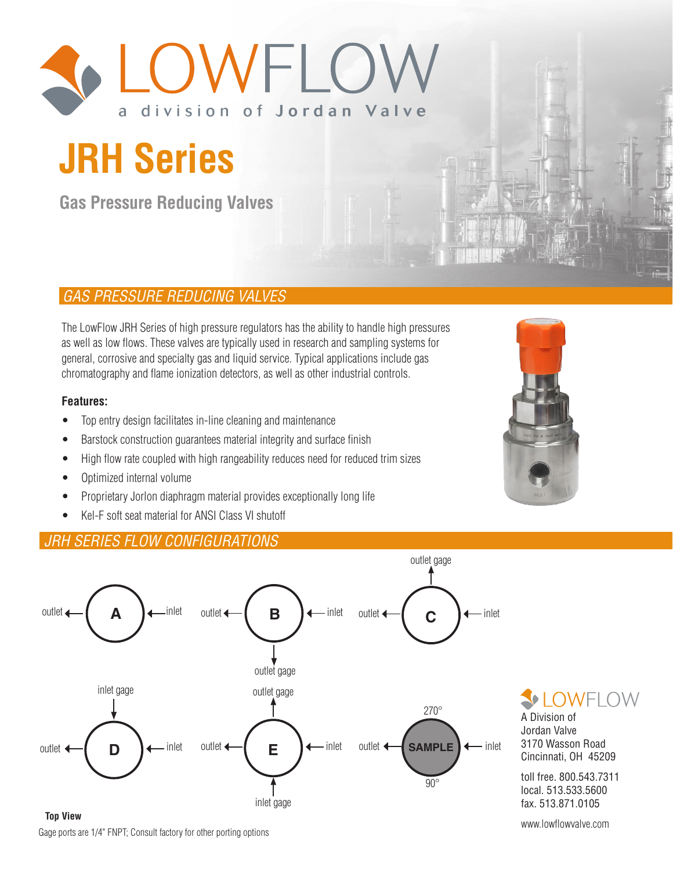

# **JRH Series**

**Gas Pressure Reducing Valves**

# *GAS PRESSURE REDUCING VALVES*

The LowFlow JRH Series of high pressure regulators has the ability to handle high pressures as well as low flows. These valves are typically used in research and sampling systems for general, corrosive and specialty gas and liquid service. Typical applications include gas chromatography and flame ionization detectors, as well as other industrial controls.

#### **Features:**

- Top entry design facilitates in-line cleaning and maintenance
- Barstock construction guarantees material integrity and surface finish
- High flow rate coupled with high rangeability reduces need for reduced trim sizes
- Optimized internal volume
- Proprietary Jorlon diaphragm material provides exceptionally long life
- Kel-F soft seat material for ANSI Class VI shutoff

# *JRH SERIES FLOW CONFIGURATIONS*





**OWELOW** 

A Division of Jordan Valve 3170 Wasson Road Cincinnati, OH 45209

toll free. 800.543.7311 local. 513.533.5600 fax. 513.871.0105

www.lowflowvalve.com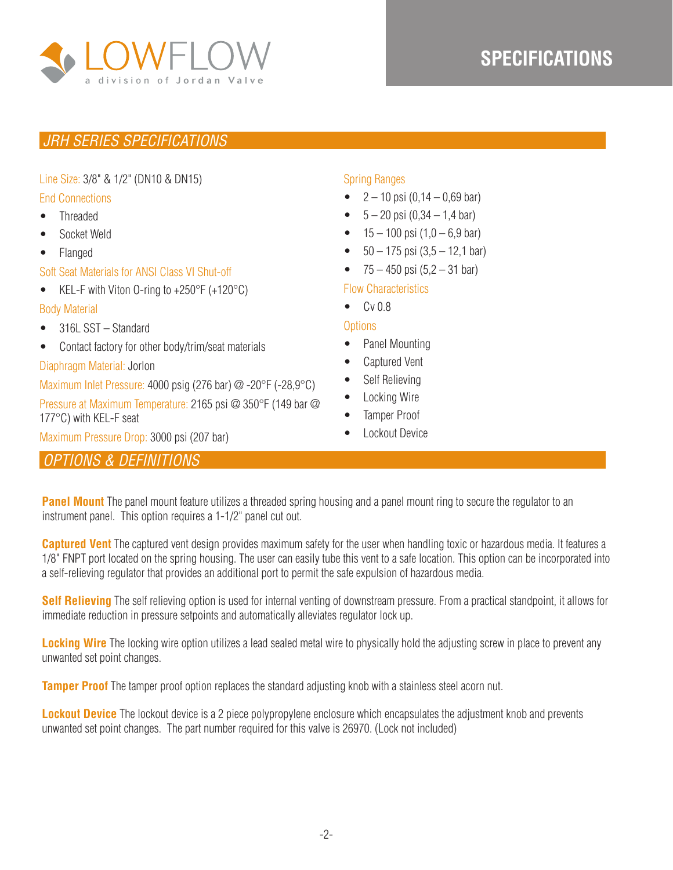

# **SPECIFICATIONS**

# *JRH SERIES SPECIFICATIONS*

#### Line Size: 3/8" & 1/2" (DN10 & DN15)

#### End Connections

- Threaded
- Socket Weld
- Flanged

#### Soft Seat Materials for ANSI Class VI Shut-off

• KEL-F with Viton 0-ring to  $+250^{\circ}$ F ( $+120^{\circ}$ C)

#### Body Material

- 316L SST Standard
- Contact factory for other body/trim/seat materials

#### Diaphragm Material: Jorlon

Maximum Inlet Pressure: 4000 psig (276 bar) @ -20°F (-28,9°C)

Pressure at Maximum Temperature: 2165 psi @ 350°F (149 bar @ 177°C) with KEL-F seat

Maximum Pressure Drop: 3000 psi (207 bar)

# *OPTIONS & DEFINITIONS*

### Spring Ranges

- $2 10$  psi  $(0, 14 0, 69$  bar)
- $5 20$  psi  $(0.34 1.4$  bar)
- $15 100$  psi  $(1,0 6,9$  bar)
- $50 175$  psi  $(3.5 12.1$  bar)
- $75 450$  psi  $(5, 2 31$  bar)

#### Flow Characteristics

• Cv 0.8

#### **Options**

- Panel Mounting
- Captured Vent
- Self Relieving
- Locking Wire
- Tamper Proof
- Lockout Device

**Panel Mount** The panel mount feature utilizes a threaded spring housing and a panel mount ring to secure the regulator to an instrument panel. This option requires a 1-1/2" panel cut out.

**Captured Vent** The captured vent design provides maximum safety for the user when handling toxic or hazardous media. It features a 1/8" FNPT port located on the spring housing. The user can easily tube this vent to a safe location. This option can be incorporated into a self-relieving regulator that provides an additional port to permit the safe expulsion of hazardous media.

**Self Relieving** The self relieving option is used for internal venting of downstream pressure. From a practical standpoint, it allows for immediate reduction in pressure setpoints and automatically alleviates regulator lock up.

**Locking Wire** The locking wire option utilizes a lead sealed metal wire to physically hold the adjusting screw in place to prevent any unwanted set point changes.

**Tamper Proof** The tamper proof option replaces the standard adjusting knob with a stainless steel acorn nut.

**Lockout Device** The lockout device is a 2 piece polypropylene enclosure which encapsulates the adjustment knob and prevents unwanted set point changes. The part number required for this valve is 26970. (Lock not included)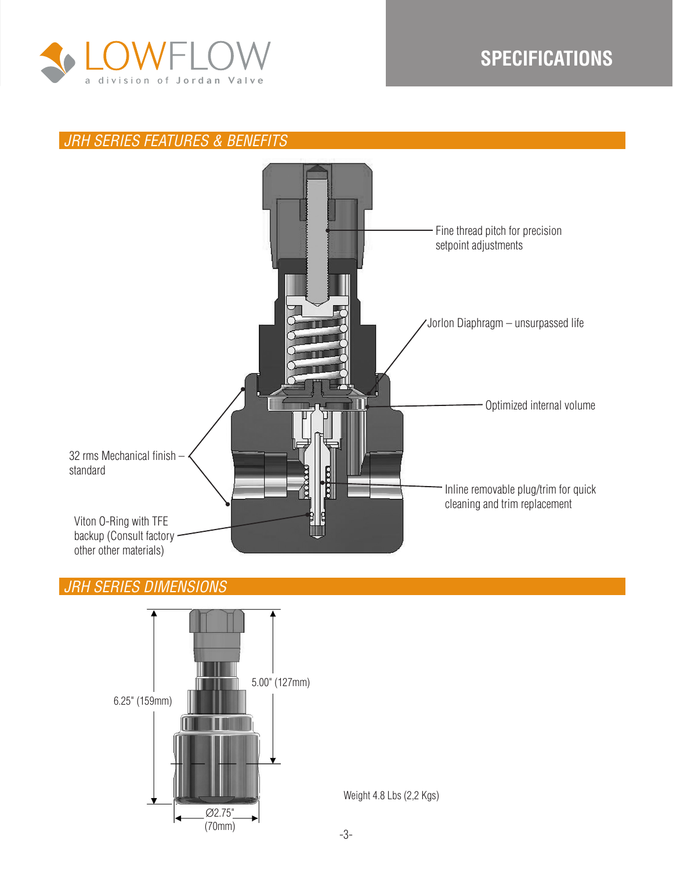

# **SPECIFICATIONS**

# *JRH SERIES FEATURES & BENEFITS*



# *JRH SERIES DIMENSIONS*

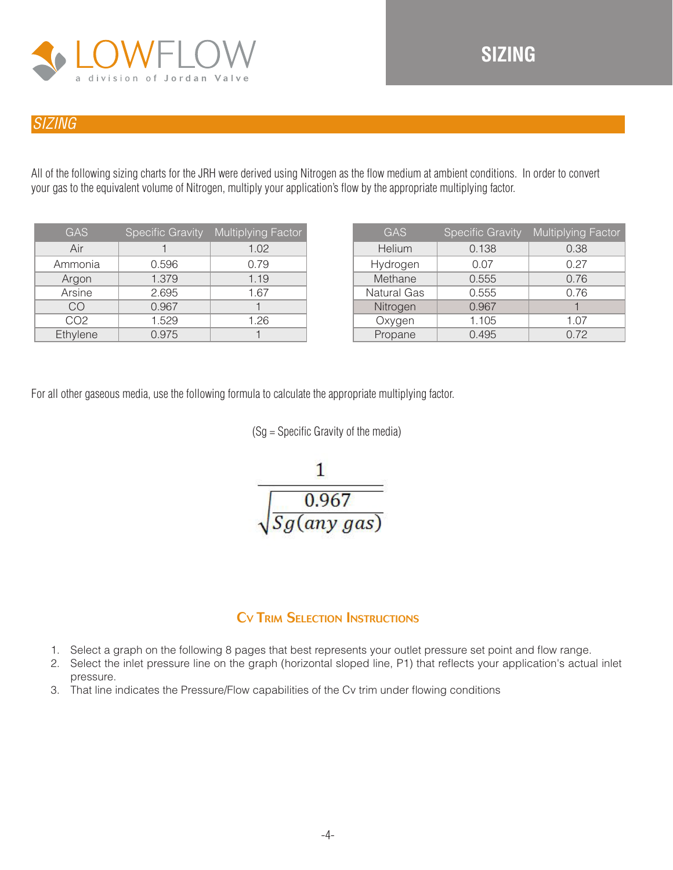

# *SIZING*

All of the following sizing charts for the JRH were derived using Nitrogen as the flow medium at ambient conditions. In order to convert your gas to the equivalent volume of Nitrogen, multiply your application's flow by the appropriate multiplying factor.

| <b>GAS</b>      | Specific Gravity | <b>Multiplying Factor</b> |
|-----------------|------------------|---------------------------|
| Air             |                  | 1.02                      |
| Ammonia         | 0.596            | 0.79                      |
| Argon           | 1.379            | 1.19                      |
| Arsine          | 2.695            | 1.67                      |
| CO              | 0.967            |                           |
| CO <sub>2</sub> | 1.529            | 1.26                      |
| Ethylene        | 0.975            |                           |

| <b>GAS</b>         | <b>Specific Gravity</b> | Multiplying Factor |
|--------------------|-------------------------|--------------------|
| Helium             | 0.138                   | 0.38               |
| Hydrogen           | 0.07                    | 0.27               |
| Methane            | 0.555                   | 0.76               |
| <b>Natural Gas</b> | 0.555                   | 0.76               |
| Nitrogen           | 0.967                   |                    |
| Oxygen             | 1.105                   | 1.07               |
| Propane            | 0.495                   | 0.72               |

For all other gaseous media, use the following formula to calculate the appropriate multiplying factor.





# Cv Trim Selection Instructions

- 1. Select a graph on the following 8 pages that best represents your outlet pressure set point and flow range.
- 2. Select the inlet pressure line on the graph (horizontal sloped line, P1) that reflects your application's actual inlet pressure.
- 3. That line indicates the Pressure/Flow capabilities of the Cv trim under flowing conditions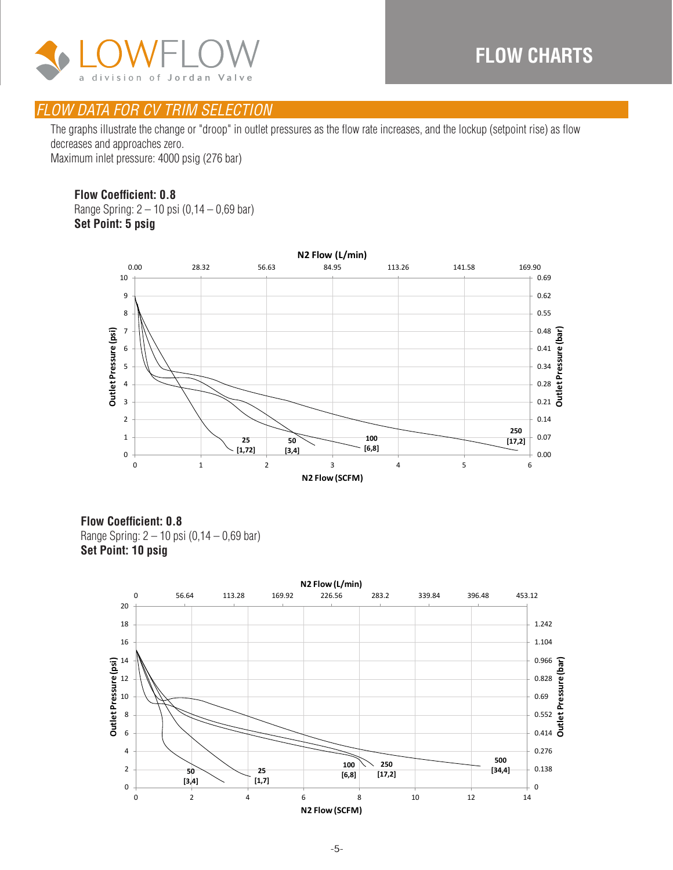

The graphs illustrate the change or "droop" in outlet pressures as the flow rate increases, and the lockup (setpoint rise) as flow decreases and approaches zero. Maximum inlet pressure: 4000 psig (276 bar)

#### **Flow Coefficient: 0.8**

Range Spring: 2 – 10 psi (0,14 – 0,69 bar) **Set Point: 5 psig Set Point: 5 psig** 



**Flow Coefficient: 0.8** Range Spring: 2 – 10 psi (0,14 – 0,69 bar) **Set Point: 10 psig**

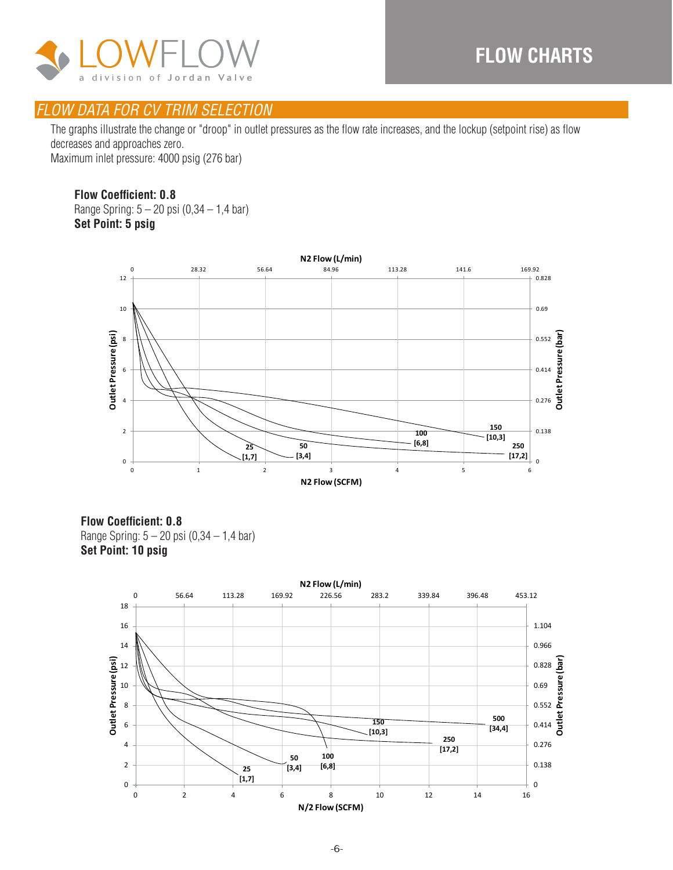

The graphs illustrate the change or "droop" in outlet pressures as the flow rate increases, and the lockup (setpoint rise) as flow decreases and approaches zero. Maximum inlet pressure: 4000 psig (276 bar)

#### **Flow Coefficient: 0.8**

Range Spring: 5 – 20 psi (0,34 – 1,4 bar) **Set Point: 5 psig**



**Flow Coefficient: 0.8** Range Spring: 5 – 20 psi (0,34 – 1,4 bar) **Set Point: 10 psig**

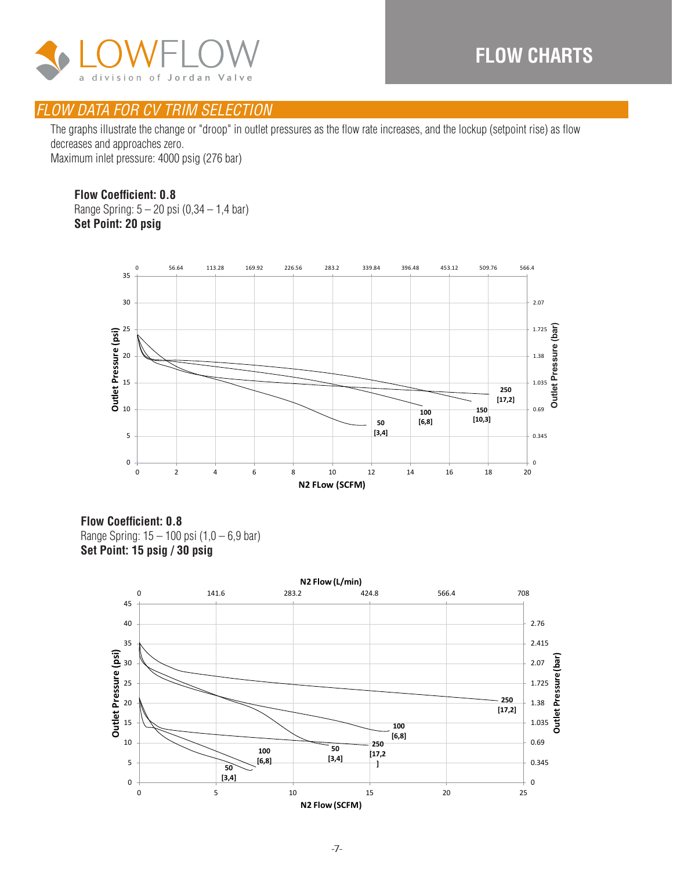

The graphs illustrate the change or "droop" in outlet pressures as the flow rate increases, and the lockup (setpoint rise) as flow decreases and approaches zero. Maximum inlet pressure: 4000 psig (276 bar)

#### **Flow Coefficient: 0.8**

Range Spring: 5 – 20 psi (0,34 – 1,4 bar) **Set Point: 20 psig**



**Flow Coefficient: 0.8** Range Spring: 15 – 100 psi (1,0 – 6,9 bar) **Set Point: 15 psig / 30 psig**

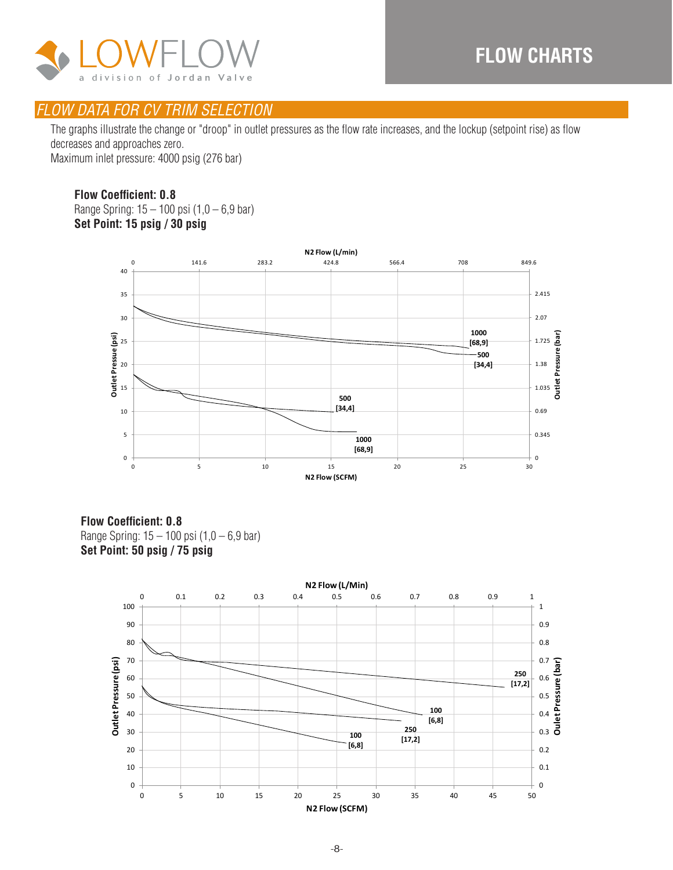

The graphs illustrate the change or "droop" in outlet pressures as the flow rate increases, and the lockup (setpoint rise) as flow decreases and approaches zero. Maximum inlet pressure: 4000 psig (276 bar)

#### **Flow Coefficient: 0.8**

Range Spring: 15 – 100 psi (1,0 – 6,9 bar) **Set Point: 15 psig / 30 psig Set Point: 15 psig / 30 psig**



**Flow Coefficient: 0.8** Range Spring: 15 – 100 psi (1,0 – 6,9 bar) **Set Point: 50 psig / 75 psig**

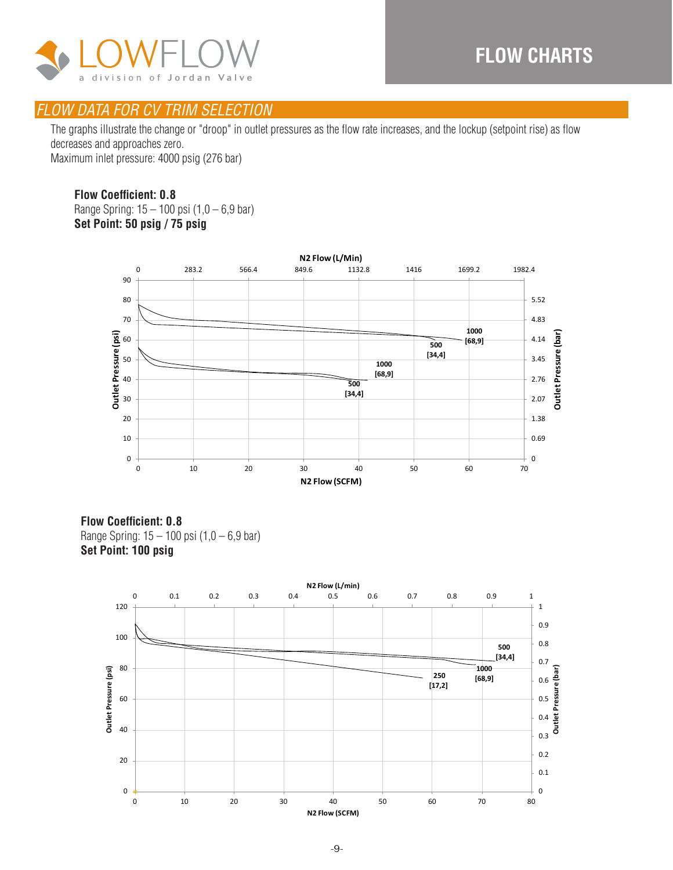

The graphs illustrate the change or "droop" in outlet pressures as the flow rate increases, and the lockup (setpoint rise) as flow decreases and approaches zero. Maximum inlet pressure: 4000 psig (276 bar)

#### **Flow Coefficient: 0.8**

Range Spring: 15 – 100 psi (1,0 – 6,9 bar) **Set Point: 50 psig / 75 psig**



**Flow Coefficient: 0.8** Range Spring: 15 – 100 psi (1,0 – 6,9 bar) **Set Point: 100 psig**

![](_page_8_Figure_8.jpeg)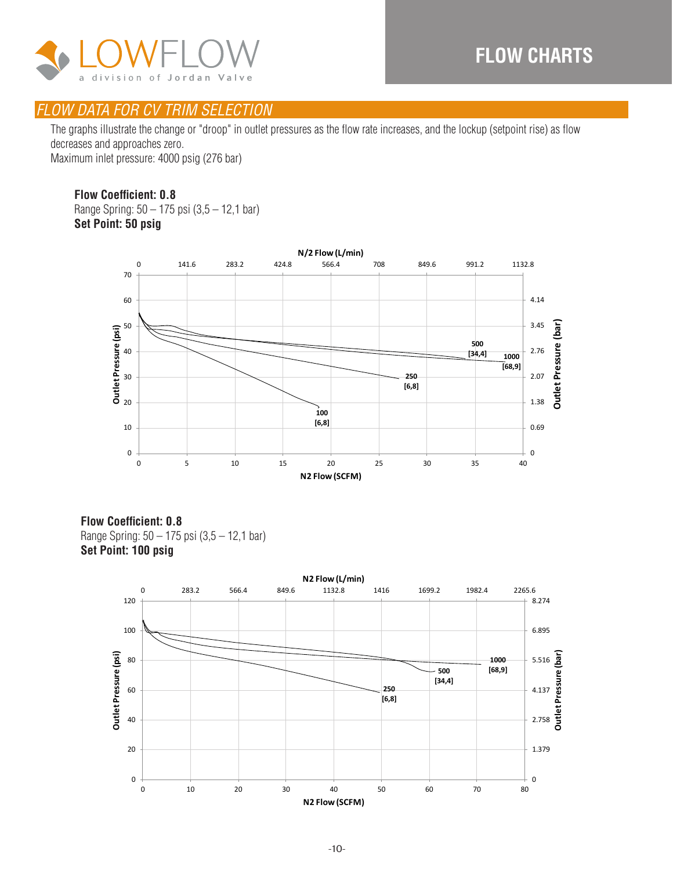![](_page_9_Picture_1.jpeg)

The graphs illustrate the change or "droop" in outlet pressures as the flow rate increases, and the lockup (setpoint rise) as flow decreases and approaches zero. Maximum inlet pressure: 4000 psig (276 bar)

#### **Flow Coefficient: 0.8**

Range Spring: 50 – 175 psi (3,5 – 12,1 bar) **Set Point: 50 psig Set Point: 50 psig**

![](_page_9_Figure_6.jpeg)

**Flow Coefficient: 0.8** Range Spring: 50 – 175 psi (3,5 – 12,1 bar) **Set Point: 100 psig**

![](_page_9_Figure_8.jpeg)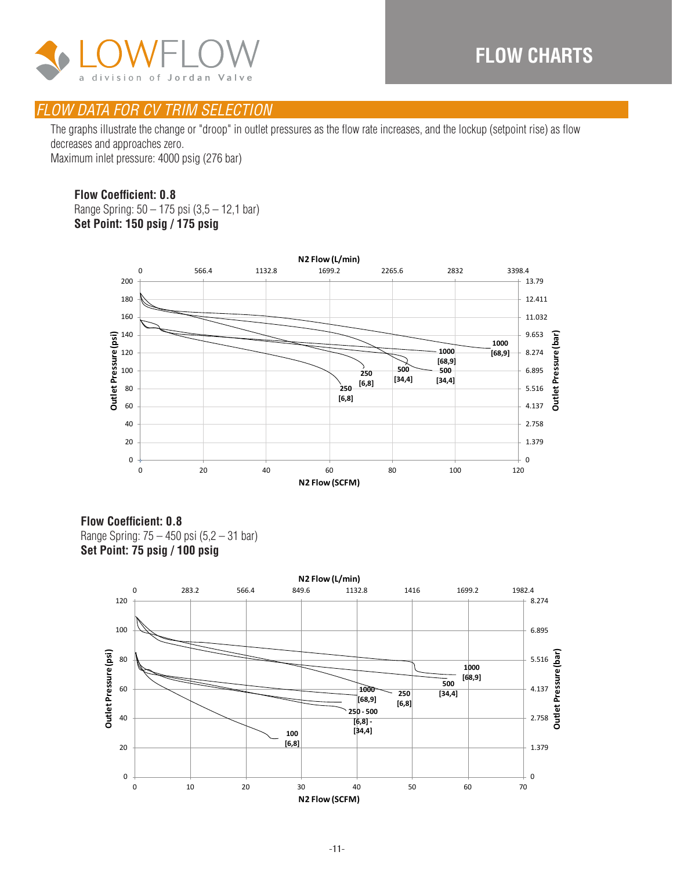![](_page_10_Picture_1.jpeg)

The graphs illustrate the change or "droop" in outlet pressures as the flow rate increases, and the lockup (setpoint rise) as flow decreases and approaches zero. Maximum inlet pressure: 4000 psig (276 bar)

#### **Flow Coefficient: 0.8**

Range Spring: 50 – 175 psi (3,5 – 12,1 bar) **Set Point: 150 psig / 175 psig**

![](_page_10_Figure_6.jpeg)

**Flow Coefficient: 0.8** Range Spring: 75 – 450 psi (5,2 – 31 bar) **Set Point: 75 psig / 100 psig**

![](_page_10_Figure_8.jpeg)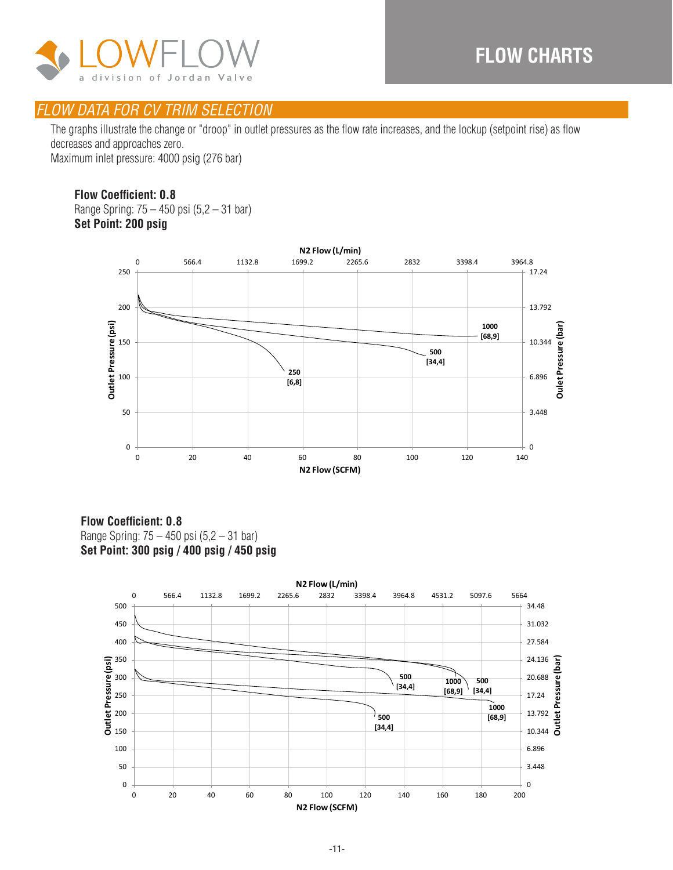![](_page_11_Picture_1.jpeg)

The graphs illustrate the change or "droop" in outlet pressures as the flow rate increases, and the lockup (setpoint rise) as flow decreases and approaches zero. Maximum inlet pressure: 4000 psig (276 bar)

#### **Flow Coefficient: 0.8**

Range Spring: 75 – 450 psi (5,2 – 31 bar) **Set Point: 200 psig Set Point: 200 psig**

![](_page_11_Figure_6.jpeg)

#### **Flow Coefficient: 0.8** Range Spring: 75 – 450 psi (5,2 – 31 bar) **Set Point: 300 psig / 400 psig / 450 psig**

![](_page_11_Figure_8.jpeg)